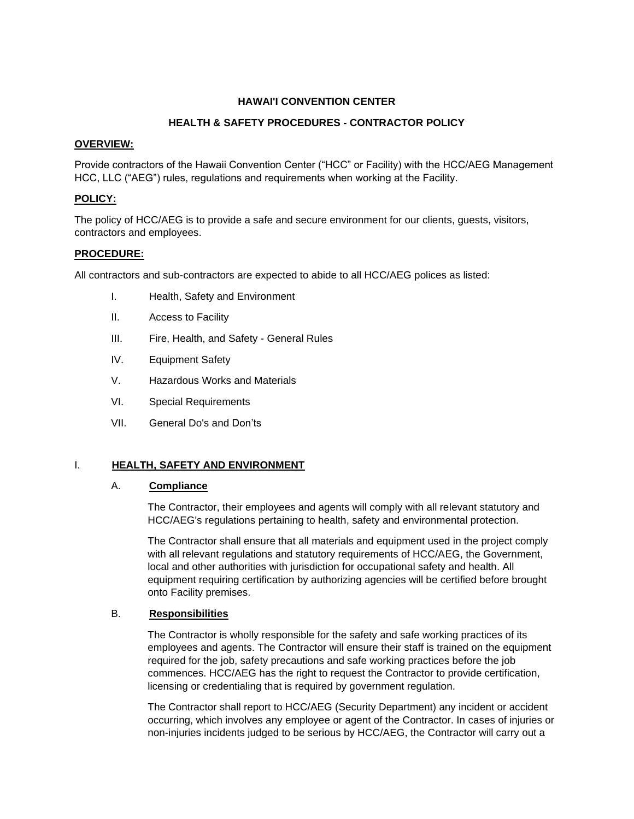## **HAWAI'I CONVENTION CENTER**

# **HEALTH & SAFETY PROCEDURES - CONTRACTOR POLICY**

#### **OVERVIEW:**

Provide contractors of the Hawaii Convention Center ("HCC" or Facility) with the HCC/AEG Management HCC, LLC ("AEG") rules, regulations and requirements when working at the Facility.

# **POLICY:**

The policy of HCC/AEG is to provide a safe and secure environment for our clients, guests, visitors, contractors and employees.

### **PROCEDURE:**

All contractors and sub-contractors are expected to abide to all HCC/AEG polices as listed:

- I. Health, Safety and Environment
- II. Access to Facility
- III. Fire, Health, and Safety General Rules
- IV. Equipment Safety
- V. Hazardous Works and Materials
- VI. Special Requirements
- VII. General Do's and Don'ts

## I. **HEALTH, SAFETY AND ENVIRONMENT**

#### A. **Compliance**

The Contractor, their employees and agents will comply with all relevant statutory and HCC/AEG's regulations pertaining to health, safety and environmental protection.

The Contractor shall ensure that all materials and equipment used in the project comply with all relevant regulations and statutory requirements of HCC/AEG, the Government, local and other authorities with jurisdiction for occupational safety and health. All equipment requiring certification by authorizing agencies will be certified before brought onto Facility premises.

### B. **Responsibilities**

The Contractor is wholly responsible for the safety and safe working practices of its employees and agents. The Contractor will ensure their staff is trained on the equipment required for the job, safety precautions and safe working practices before the job commences. HCC/AEG has the right to request the Contractor to provide certification, licensing or credentialing that is required by government regulation.

The Contractor shall report to HCC/AEG (Security Department) any incident or accident occurring, which involves any employee or agent of the Contractor. In cases of injuries or non-injuries incidents judged to be serious by HCC/AEG, the Contractor will carry out a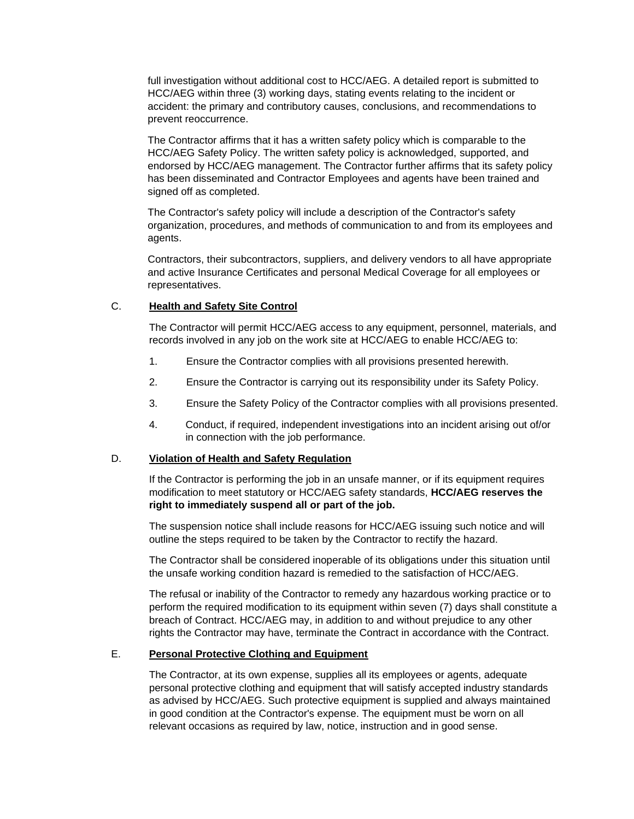full investigation without additional cost to HCC/AEG. A detailed report is submitted to HCC/AEG within three (3) working days, stating events relating to the incident or accident: the primary and contributory causes, conclusions, and recommendations to prevent reoccurrence.

The Contractor affirms that it has a written safety policy which is comparable to the HCC/AEG Safety Policy. The written safety policy is acknowledged, supported, and endorsed by HCC/AEG management. The Contractor further affirms that its safety policy has been disseminated and Contractor Employees and agents have been trained and signed off as completed.

The Contractor's safety policy will include a description of the Contractor's safety organization, procedures, and methods of communication to and from its employees and agents.

Contractors, their subcontractors, suppliers, and delivery vendors to all have appropriate and active Insurance Certificates and personal Medical Coverage for all employees or representatives.

### C. **Health and Safety Site Control**

The Contractor will permit HCC/AEG access to any equipment, personnel, materials, and records involved in any job on the work site at HCC/AEG to enable HCC/AEG to:

- 1. Ensure the Contractor complies with all provisions presented herewith.
- 2. Ensure the Contractor is carrying out its responsibility under its Safety Policy.
- 3. Ensure the Safety Policy of the Contractor complies with all provisions presented.
- 4. Conduct, if required, independent investigations into an incident arising out of/or in connection with the job performance.

#### D. **Violation of Health and Safety Regulation**

If the Contractor is performing the job in an unsafe manner, or if its equipment requires modification to meet statutory or HCC/AEG safety standards, **HCC/AEG reserves the right to immediately suspend all or part of the job.**

The suspension notice shall include reasons for HCC/AEG issuing such notice and will outline the steps required to be taken by the Contractor to rectify the hazard.

The Contractor shall be considered inoperable of its obligations under this situation until the unsafe working condition hazard is remedied to the satisfaction of HCC/AEG.

The refusal or inability of the Contractor to remedy any hazardous working practice or to perform the required modification to its equipment within seven (7) days shall constitute a breach of Contract. HCC/AEG may, in addition to and without prejudice to any other rights the Contractor may have, terminate the Contract in accordance with the Contract.

# E. **Personal Protective Clothing and Equipment**

The Contractor, at its own expense, supplies all its employees or agents, adequate personal protective clothing and equipment that will satisfy accepted industry standards as advised by HCC/AEG. Such protective equipment is supplied and always maintained in good condition at the Contractor's expense. The equipment must be worn on all relevant occasions as required by law, notice, instruction and in good sense.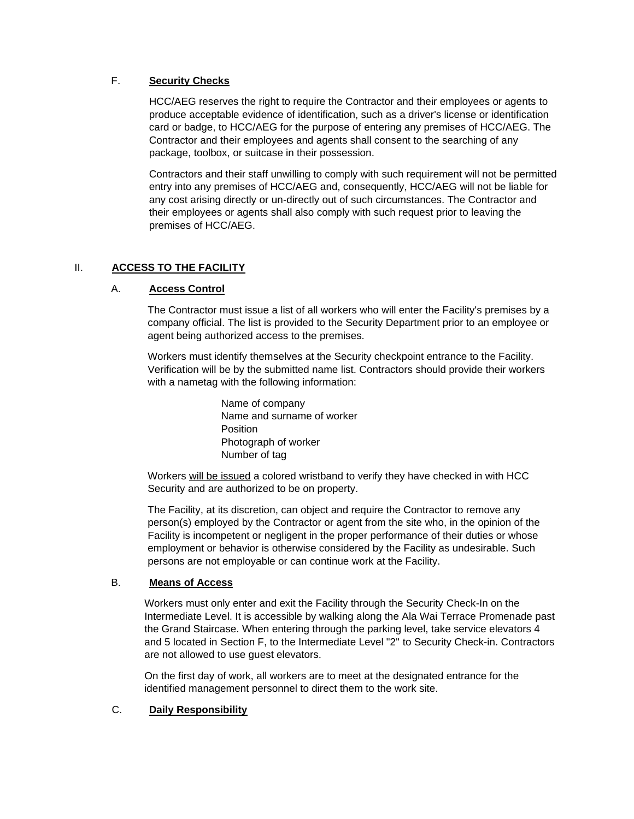## F. **Security Checks**

HCC/AEG reserves the right to require the Contractor and their employees or agents to produce acceptable evidence of identification, such as a driver's license or identification card or badge, to HCC/AEG for the purpose of entering any premises of HCC/AEG. The Contractor and their employees and agents shall consent to the searching of any package, toolbox, or suitcase in their possession.

Contractors and their staff unwilling to comply with such requirement will not be permitted entry into any premises of HCC/AEG and, consequently, HCC/AEG will not be liable for any cost arising directly or un-directly out of such circumstances. The Contractor and their employees or agents shall also comply with such request prior to leaving the premises of HCC/AEG.

## II. **ACCESS TO THE FACILITY**

## A. **Access Control**

The Contractor must issue a list of all workers who will enter the Facility's premises by a company official. The list is provided to the Security Department prior to an employee or agent being authorized access to the premises.

Workers must identify themselves at the Security checkpoint entrance to the Facility. Verification will be by the submitted name list. Contractors should provide their workers with a nametag with the following information:

> Name of company Name and surname of worker **Position** Photograph of worker Number of tag

Workers will be issued a colored wristband to verify they have checked in with HCC Security and are authorized to be on property.

The Facility, at its discretion, can object and require the Contractor to remove any person(s) employed by the Contractor or agent from the site who, in the opinion of the Facility is incompetent or negligent in the proper performance of their duties or whose employment or behavior is otherwise considered by the Facility as undesirable. Such persons are not employable or can continue work at the Facility.

#### B. **Means of Access**

Workers must only enter and exit the Facility through the Security Check-In on the Intermediate Level. It is accessible by walking along the Ala Wai Terrace Promenade past the Grand Staircase. When entering through the parking level, take service elevators 4 and 5 located in Section F, to the Intermediate Level "2" to Security Check-in. Contractors are not allowed to use guest elevators.

On the first day of work, all workers are to meet at the designated entrance for the identified management personnel to direct them to the work site.

## C. **Daily Responsibility**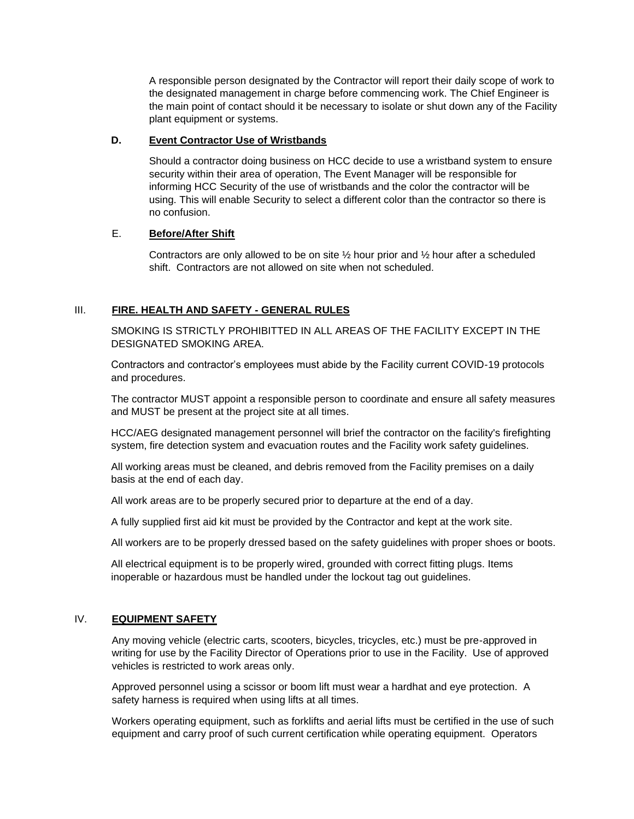A responsible person designated by the Contractor will report their daily scope of work to the designated management in charge before commencing work. The Chief Engineer is the main point of contact should it be necessary to isolate or shut down any of the Facility plant equipment or systems.

## **D. Event Contractor Use of Wristbands**

Should a contractor doing business on HCC decide to use a wristband system to ensure security within their area of operation, The Event Manager will be responsible for informing HCC Security of the use of wristbands and the color the contractor will be using. This will enable Security to select a different color than the contractor so there is no confusion.

## E. **Before/After Shift**

Contractors are only allowed to be on site  $\frac{1}{2}$  hour prior and  $\frac{1}{2}$  hour after a scheduled shift. Contractors are not allowed on site when not scheduled.

# III. **FIRE. HEALTH AND SAFETY - GENERAL RULES**

SMOKING IS STRICTLY PROHIBITTED IN ALL AREAS OF THE FACILITY EXCEPT IN THE DESIGNATED SMOKING AREA.

Contractors and contractor's employees must abide by the Facility current COVID-19 protocols and procedures.

The contractor MUST appoint a responsible person to coordinate and ensure all safety measures and MUST be present at the project site at all times.

HCC/AEG designated management personnel will brief the contractor on the facility's firefighting system, fire detection system and evacuation routes and the Facility work safety guidelines.

All working areas must be cleaned, and debris removed from the Facility premises on a daily basis at the end of each day.

All work areas are to be properly secured prior to departure at the end of a day.

A fully supplied first aid kit must be provided by the Contractor and kept at the work site.

All workers are to be properly dressed based on the safety guidelines with proper shoes or boots.

All electrical equipment is to be properly wired, grounded with correct fitting plugs. Items inoperable or hazardous must be handled under the lockout tag out guidelines.

## IV. **EQUIPMENT SAFETY**

Any moving vehicle (electric carts, scooters, bicycles, tricycles, etc.) must be pre-approved in writing for use by the Facility Director of Operations prior to use in the Facility. Use of approved vehicles is restricted to work areas only.

Approved personnel using a scissor or boom lift must wear a hardhat and eye protection. A safety harness is required when using lifts at all times.

Workers operating equipment, such as forklifts and aerial lifts must be certified in the use of such equipment and carry proof of such current certification while operating equipment. Operators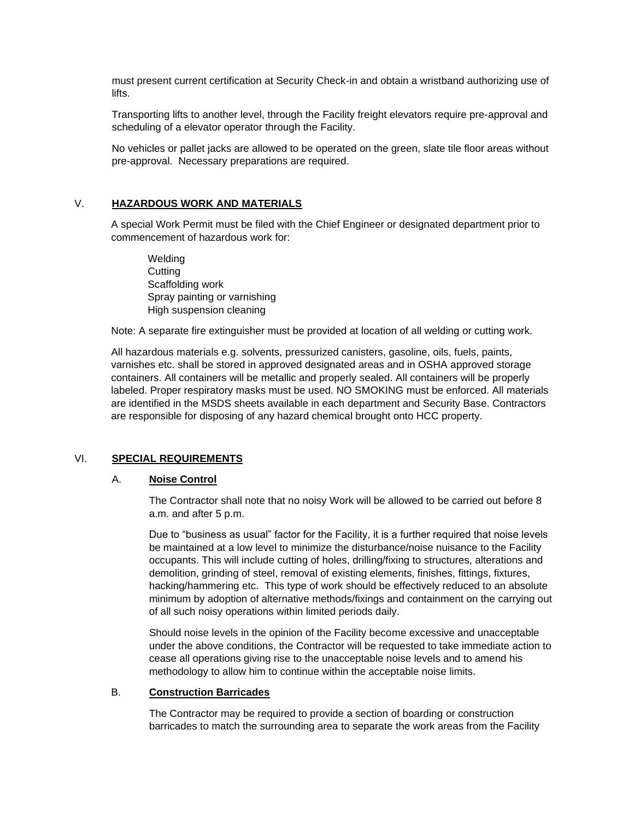must present current certification at Security Check-in and obtain a wristband authorizing use of lifts.

Transporting lifts to another level, through the Facility freight elevators require pre-approval and scheduling of a elevator operator through the Facility.

No vehicles or pallet jacks are allowed to be operated on the green, slate tile floor areas without pre-approval. Necessary preparations are required.

#### V. **HAZARDOUS WORK AND MATERIALS**

A special Work Permit must be filed with the Chief Engineer or designated department prior to commencement of hazardous work for:

**Welding Cutting** Scaffolding work Spray painting or varnishing High suspension cleaning

Note: A separate fire extinguisher must be provided at location of all welding or cutting work.

All hazardous materials e.g. solvents, pressurized canisters, gasoline, oils, fuels, paints, varnishes etc. shall be stored in approved designated areas and in OSHA approved storage containers. All containers will be metallic and properly sealed. All containers will be properly labeled. Proper respiratory masks must be used. NO SMOKING must be enforced. All materials are identified in the MSDS sheets available in each department and Security Base. Contractors are responsible for disposing of any hazard chemical brought onto HCC property.

#### VI. **SPECIAL REQUIREMENTS**

#### A. **Noise Control**

The Contractor shall note that no noisy Work will be allowed to be carried out before 8 a.m. and after 5 p.m.

Due to "business as usual" factor for the Facility, it is a further required that noise levels be maintained at a low level to minimize the disturbance/noise nuisance to the Facility occupants. This will include cutting of holes, drilling/fixing to structures, alterations and demolition, grinding of steel, removal of existing elements, finishes, fittings, fixtures, hacking/hammering etc. This type of work should be effectively reduced to an absolute minimum by adoption of alternative methods/fixings and containment on the carrying out of all such noisy operations within limited periods daily.

Should noise levels in the opinion of the Facility become excessive and unacceptable under the above conditions, the Contractor will be requested to take immediate action to cease all operations giving rise to the unacceptable noise levels and to amend his methodology to allow him to continue within the acceptable noise limits.

#### B. **Construction Barricades**

The Contractor may be required to provide a section of boarding or construction barricades to match the surrounding area to separate the work areas from the Facility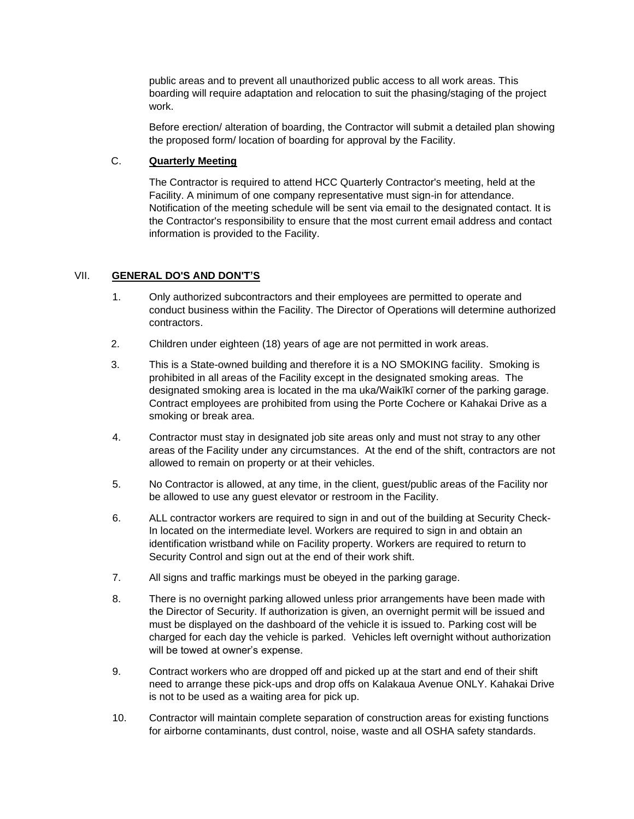public areas and to prevent all unauthorized public access to all work areas. This boarding will require adaptation and relocation to suit the phasing/staging of the project work.

Before erection/ alteration of boarding, the Contractor will submit a detailed plan showing the proposed form/ location of boarding for approval by the Facility.

## C. **Quarterly Meeting**

The Contractor is required to attend HCC Quarterly Contractor's meeting, held at the Facility. A minimum of one company representative must sign-in for attendance. Notification of the meeting schedule will be sent via email to the designated contact. It is the Contractor's responsibility to ensure that the most current email address and contact information is provided to the Facility.

# VII. **GENERAL DO'S AND DON'T'S**

- 1. Only authorized subcontractors and their employees are permitted to operate and conduct business within the Facility. The Director of Operations will determine authorized contractors.
- 2. Children under eighteen (18) years of age are not permitted in work areas.
- 3. This is a State-owned building and therefore it is a NO SMOKING facility. Smoking is prohibited in all areas of the Facility except in the designated smoking areas. The designated smoking area is located in the ma uka/Waikīkī corner of the parking garage. Contract employees are prohibited from using the Porte Cochere or Kahakai Drive as a smoking or break area.
- 4. Contractor must stay in designated job site areas only and must not stray to any other areas of the Facility under any circumstances. At the end of the shift, contractors are not allowed to remain on property or at their vehicles.
- 5. No Contractor is allowed, at any time, in the client, guest/public areas of the Facility nor be allowed to use any guest elevator or restroom in the Facility.
- 6. ALL contractor workers are required to sign in and out of the building at Security Check-In located on the intermediate level. Workers are required to sign in and obtain an identification wristband while on Facility property. Workers are required to return to Security Control and sign out at the end of their work shift.
- 7. All signs and traffic markings must be obeyed in the parking garage.
- 8. There is no overnight parking allowed unless prior arrangements have been made with the Director of Security. If authorization is given, an overnight permit will be issued and must be displayed on the dashboard of the vehicle it is issued to. Parking cost will be charged for each day the vehicle is parked. Vehicles left overnight without authorization will be towed at owner's expense.
- 9. Contract workers who are dropped off and picked up at the start and end of their shift need to arrange these pick-ups and drop offs on Kalakaua Avenue ONLY. Kahakai Drive is not to be used as a waiting area for pick up.
- 10. Contractor will maintain complete separation of construction areas for existing functions for airborne contaminants, dust control, noise, waste and all OSHA safety standards.